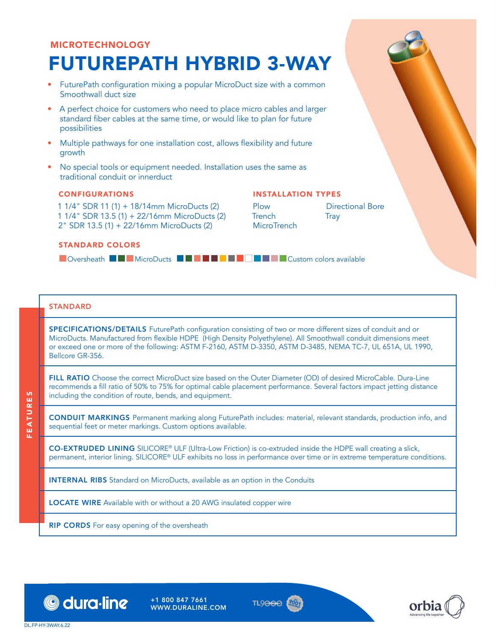# MICROTECHNOLOGY FUTUREPATH HYBRID 3-WAY

- FuturePath configuration mixing a popular MicroDuct size with a common Smoothwall duct size
- A perfect choice for customers who need to place micro cables and larger standard fiber cables at the same time, or would like to plan for future possibilities
- Multiple pathways for one installation cost, allows flexibility and future growth
- No special tools or equipment needed. Installation uses the same as traditional conduit or innerduct

### CONFIGURATIONS

1 1/4" SDR 11 (1) + 18/14mm MicroDucts (2) 1 1/4" SDR 13.5 (1) + 22/16mm MicroDucts (2) 2" SDR 13.5 (1) + 22/16mm MicroDucts (2)

## INSTALLATION TYPES

Plow Trench **MicroTrench** Directional Bore **Tray** 

#### STANDARD COLORS

**DOversheath BGDMicroDucts BGDSCXFAWWYZGY-BGDSCXFAWWYZGYSAYailable** 

## **STANDARD**

SPECIFICATIONS/DETAILS FuturePath configuration consisting of two or more different sizes of conduit and or MicroDucts. Manufactured from flexible HDPE (High Density Polyethylene). All Smoothwall conduit dimensions meet or exceed one or more of the following: ASTM F-2160, ASTM D-3350, ASTM D-3485, NEMA TC-7, UL 651A, UL 1990, Bellcore GR-356.

FILL RATIO Choose the correct MicroDuct size based on the Outer Diameter (OD) of desired MicroCable. Dura-Line recommends a fill ratio of 50% to 75% for optimal cable placement performance. Several factors impact jetting distance including the condition of route, bends, and equipment.

CONDUIT MARKINGS Permanent marking along FuturePath includes: material, relevant standards, production info, and sequential feet or meter markings. Custom options available.

CO-EXTRUDED LINING SILICORE® ULF (Ultra-Low Friction) is co-extruded inside the HDPE wall creating a slick, permanent, interior lining. SILICORE® ULF exhibits no loss in performance over time or in extreme temperature conditions.

INTERNAL RIBS Standard on MicroDucts, available as an option in the Conduits

LOCATE WIRE Available with or without a 20 AWG insulated copper wire

**RIP CORDS** For easy opening of the oversheath



+1 800 847 7661 WWW.DURALINE.COM